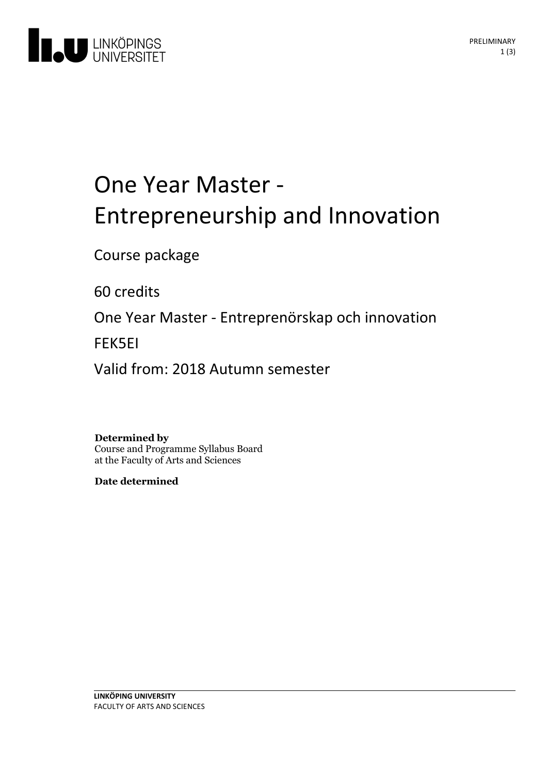

# One Year Master -<br>Entrepreneurship and Innovation

Course package

60 credits

One Year Master - Entreprenörskap och innovation

FEK5EI

Valid from: 2018 Autumn semester

#### **Determined by**

Course and Programme Syllabus Board at the Faculty of Arts and Sciences

**Date determined**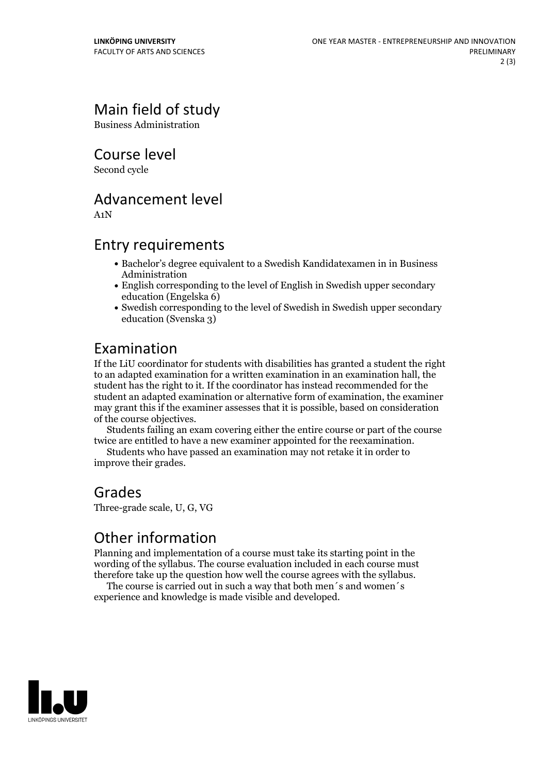## Main field of study

Business Administration

Course level

Second cycle

#### Advancement level

A1N

#### Entry requirements

- Bachelor's degree equivalent to a Swedish Kandidatexamen in in Business Administration
- English corresponding to the level of English in Swedish upper secondary education (Engelska 6)
- Swedish corresponding to the level of Swedish in Swedish upper secondary education (Svenska 3)

### Examination

If the LiU coordinator for students with disabilities has granted a student the right to an adapted examination for a written examination in an examination hall, the student has the right to it. If the coordinator has instead recommended for the student an adapted examination or alternative form of examination, the examiner may grant this if the examiner assesses that it is possible, based on consideration

Students failing an exam covering either the entire course or part of the course twice are entitled to have <sup>a</sup> new examiner appointed for the reexamination. Students who have passed an examination may not retake it in order to

improve their grades.

## Grades

Three-grade scale, U, G, VG

#### Other information

Planning and implementation of a course must take its starting point in the wording of the syllabus. The course evaluation included in each course must therefore take up the question how well the course agrees with the syllabus. The course is carried outin such <sup>a</sup> way that both men´s and women´s

experience and knowledge is made visible and developed.